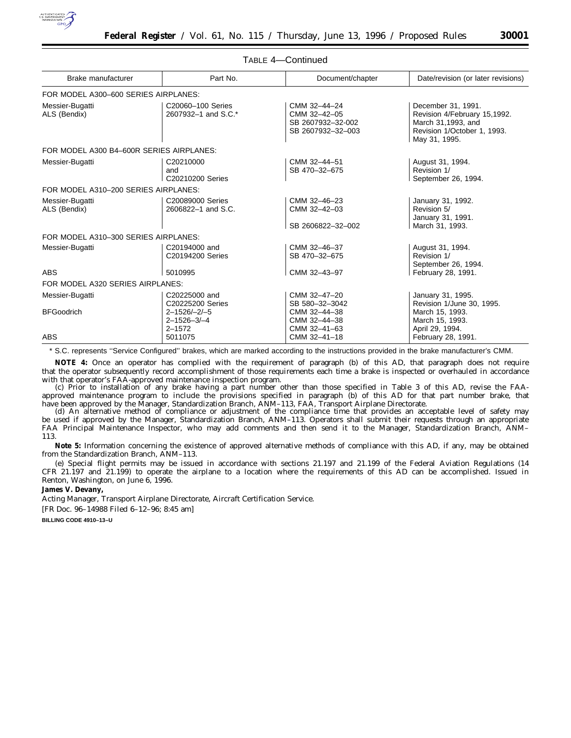

| Brake manufacturer                       | Part No.                                                  | Document/chapter                                                       | Date/revision (or later revisions)                                                                                       |
|------------------------------------------|-----------------------------------------------------------|------------------------------------------------------------------------|--------------------------------------------------------------------------------------------------------------------------|
| FOR MODEL A300-600 SERIES AIRPLANES:     |                                                           |                                                                        |                                                                                                                          |
| Messier-Bugatti<br>ALS (Bendix)          | C20060-100 Series<br>2607932-1 and S.C.*                  | CMM 32-44-24<br>CMM 32-42-05<br>SB 2607932-32-002<br>SB 2607932-32-003 | December 31, 1991.<br>Revision 4/February 15,1992.<br>March 31,1993, and<br>Revision 1/October 1, 1993.<br>May 31, 1995. |
| FOR MODEL A300 B4-600R SERIES AIRPLANES: |                                                           |                                                                        |                                                                                                                          |
| Messier-Bugatti                          | C20210000<br>and<br>C20210200 Series                      | CMM 32-44-51<br>SB 470-32-675                                          | August 31, 1994.<br>Revision 1/<br>September 26, 1994.                                                                   |
| FOR MODEL A310-200 SERIES AIRPLANES:     |                                                           |                                                                        |                                                                                                                          |
| Messier-Bugatti<br>ALS (Bendix)          | C20089000 Series<br>2606822-1 and S.C.                    | CMM 32-46-23<br>CMM 32-42-03<br>SB 2606822-32-002                      | January 31, 1992.<br>Revision 5/<br>January 31, 1991.<br>March 31, 1993.                                                 |
| FOR MODEL A310-300 SERIES AIRPLANES:     |                                                           |                                                                        |                                                                                                                          |
| Messier-Bugatti                          | C20194000 and<br>C20194200 Series                         | CMM 32-46-37<br>SB 470-32-675                                          | August 31, 1994.<br>Revision 1/<br>September 26, 1994.                                                                   |
| ABS                                      | 5010995                                                   | CMM 32-43-97                                                           | February 28, 1991.                                                                                                       |
| FOR MODEL A320 SERIES AIRPLANES:         |                                                           |                                                                        |                                                                                                                          |
| Messier-Bugatti                          | C20225000 and<br>C20225200 Series                         | CMM 32-47-20<br>SB 580-32-3042                                         | January 31, 1995.<br>Revision 1/June 30, 1995.                                                                           |
| <b>BFGoodrich</b>                        | $2 - 1526 / -2 / -5$<br>$2 - 1526 - 3/ - 4$<br>$2 - 1572$ | CMM 32-44-38<br>CMM 32-44-38<br>CMM 32-41-63                           | March 15, 1993.<br>March 15, 1993.<br>April 29, 1994.                                                                    |
| <b>ABS</b>                               | 5011075                                                   | CMM 32-41-18                                                           | February 28, 1991.                                                                                                       |

TABLE 4—Continued

\* S.C. represents ''Service Configured'' brakes, which are marked according to the instructions provided in the brake manufacturer's CMM.

**NOTE 4:** Once an operator has complied with the requirement of paragraph (b) of this AD, that paragraph does not require that the operator subsequently record accomplishment of those requirements each time a brake is inspected or overhauled in accordance with that operator's FAA-approved maintenance inspection program.

(c) Prior to installation of any brake having a part number other than those specified in Table 3 of this AD, revise the FAAapproved maintenance program to include the provisions specified in paragraph (b) of this AD for that part number brake, that have been approved by the Manager, Standardization Branch, ANM–113, FAA, Transport Airplane Directorate.

(d) An alternative method of compliance or adjustment of the compliance time that provides an acceptable level of safety may be used if approved by the Manager, Standardization Branch, ANM–113. Operators shall submit their requests through an appropriate FAA Principal Maintenance Inspector, who may add comments and then send it to the Manager, Standardization Branch, ANM– 113.

**Note 5:** Information concerning the existence of approved alternative methods of compliance with this AD, if any, may be obtained from the Standardization Branch, ANM–113.

(e) Special flight permits may be issued in accordance with sections 21.197 and 21.199 of the Federal Aviation Regulations (14 CFR 21.197 and 21.199) to operate the airplane to a location where the requirements of this AD can be accomplished. Issued in Renton, Washington, on June 6, 1996.

**James V. Devany,**

*Acting Manager, Transport Airplane Directorate, Aircraft Certification Service.*

[FR Doc. 96–14988 Filed 6–12–96; 8:45 am]

**BILLING CODE 4910–13–U**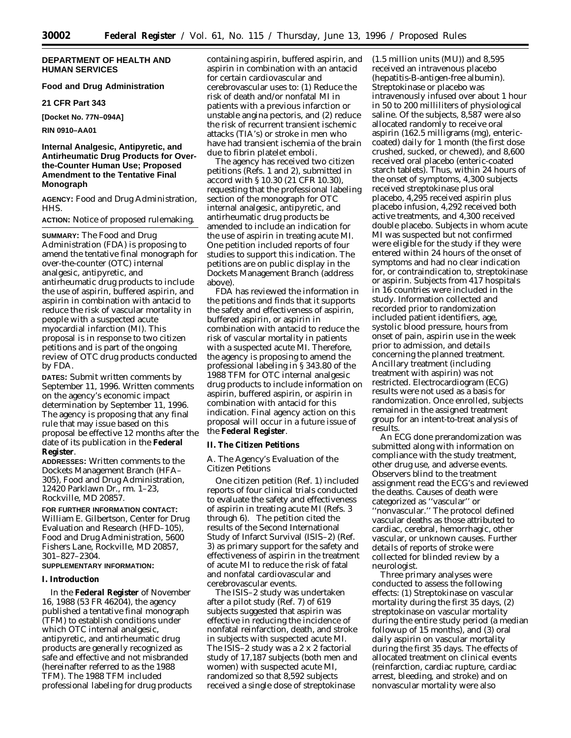# **DEPARTMENT OF HEALTH AND HUMAN SERVICES**

# **Food and Drug Administration**

## **21 CFR Part 343**

**[Docket No. 77N–094A]**

**RIN 0910–AA01**

# **Internal Analgesic, Antipyretic, and Antirheumatic Drug Products for Overthe-Counter Human Use; Proposed Amendment to the Tentative Final Monograph**

**AGENCY:** Food and Drug Administration, HHS.

## **ACTION:** Notice of proposed rulemaking.

**SUMMARY:** The Food and Drug Administration (FDA) is proposing to amend the tentative final monograph for over-the-counter (OTC) internal analgesic, antipyretic, and antirheumatic drug products to include the use of aspirin, buffered aspirin, and aspirin in combination with antacid to reduce the risk of vascular mortality in people with a suspected acute myocardial infarction (MI). This proposal is in response to two citizen petitions and is part of the ongoing review of OTC drug products conducted by FDA.

**DATES:** Submit written comments by September 11, 1996. Written comments on the agency's economic impact determination by September 11, 1996. The agency is proposing that any final rule that may issue based on this proposal be effective 12 months after the date of its publication in the **Federal Register**.

**ADDRESSES:** Written comments to the Dockets Management Branch (HFA– 305), Food and Drug Administration, 12420 Parklawn Dr., rm. 1–23, Rockville, MD 20857.

**FOR FURTHER INFORMATION CONTACT:** William E. Gilbertson, Center for Drug Evaluation and Research (HFD–105), Food and Drug Administration, 5600 Fishers Lane, Rockville, MD 20857, 301–827–2304. **SUPPLEMENTARY INFORMATION:**

# **I. Introduction**

In the **Federal Register** of November 16, 1988 (53 FR 46204), the agency published a tentative final monograph (TFM) to establish conditions under which OTC internal analgesic, antipyretic, and antirheumatic drug products are generally recognized as safe and effective and not misbranded (hereinafter referred to as the 1988 TFM). The 1988 TFM included professional labeling for drug products containing aspirin, buffered aspirin, and aspirin in combination with an antacid for certain cardiovascular and cerebrovascular uses to: (1) Reduce the risk of death and/or nonfatal MI in patients with a previous infarction or unstable angina pectoris, and (2) reduce the risk of recurrent transient ischemic attacks (TIA's) or stroke in men who have had transient ischemia of the brain due to fibrin platelet emboli.

The agency has received two citizen petitions (Refs. 1 and 2), submitted in accord with § 10.30 (21 CFR 10.30), requesting that the professional labeling section of the monograph for OTC internal analgesic, antipyretic, and antirheumatic drug products be amended to include an indication for the use of aspirin in treating acute MI. One petition included reports of four studies to support this indication. The petitions are on public display in the Dockets Management Branch (address above).

FDA has reviewed the information in the petitions and finds that it supports the safety and effectiveness of aspirin, buffered aspirin, or aspirin in combination with antacid to reduce the risk of vascular mortality in patients with a suspected acute MI. Therefore, the agency is proposing to amend the professional labeling in § 343.80 of the 1988 TFM for OTC internal analgesic drug products to include information on aspirin, buffered aspirin, or aspirin in combination with antacid for this indication. Final agency action on this proposal will occur in a future issue of the **Federal Register**.

#### **II. The Citizen Petitions**

## *A. The Agency's Evaluation of the Citizen Petitions*

One citizen petition (Ref. 1) included reports of four clinical trials conducted to evaluate the safety and effectiveness of aspirin in treating acute MI (Refs. 3 through 6). The petition cited the results of the Second International Study of Infarct Survival (ISIS–2) (Ref. 3) as primary support for the safety and effectiveness of aspirin in the treatment of acute MI to reduce the risk of fatal and nonfatal cardiovascular and cerebrovascular events.

The ISIS–2 study was undertaken after a pilot study (Ref. 7) of 619 subjects suggested that aspirin was effective in reducing the incidence of nonfatal reinfarction, death, and stroke in subjects with suspected acute MI. The ISIS–2 study was a 2 x 2 factorial study of 17,187 subjects (both men and women) with suspected acute MI, randomized so that 8,592 subjects received a single dose of streptokinase

(1.5 million units (MU)) and 8,595 received an intravenous placebo (hepatitis-B-antigen-free albumin). Streptokinase or placebo was intravenously infused over about 1 hour in 50 to 200 milliliters of physiological saline. Of the subjects, 8,587 were also allocated randomly to receive oral aspirin (162.5 milligrams (mg), entericcoated) daily for 1 month (the first dose crushed, sucked, or chewed), and 8,600 received oral placebo (enteric-coated starch tablets). Thus, within 24 hours of the onset of symptoms, 4,300 subjects received streptokinase plus oral placebo, 4,295 received aspirin plus placebo infusion, 4,292 received both active treatments, and 4,300 received double placebo. Subjects in whom acute MI was suspected but not confirmed were eligible for the study if they were entered within 24 hours of the onset of symptoms and had no clear indication for, or contraindication to, streptokinase or aspirin. Subjects from 417 hospitals in 16 countries were included in the study. Information collected and recorded prior to randomization included patient identifiers, age, systolic blood pressure, hours from onset of pain, aspirin use in the week prior to admission, and details concerning the planned treatment. Ancillary treatment (including treatment with aspirin) was not restricted. Electrocardiogram (ECG) results were not used as a basis for randomization. Once enrolled, subjects remained in the assigned treatment group for an intent-to-treat analysis of results.

An ECG done prerandomization was submitted along with information on compliance with the study treatment, other drug use, and adverse events. Observers blind to the treatment assignment read the ECG's and reviewed the deaths. Causes of death were categorized as ''vascular'' or ''nonvascular.'' The protocol defined vascular deaths as those attributed to cardiac, cerebral, hemorrhagic, other vascular, or unknown causes. Further details of reports of stroke were collected for blinded review by a neurologist.

Three primary analyses were conducted to assess the following effects: (1) Streptokinase on vascular mortality during the first 35 days, (2) streptokinase on vascular mortality during the entire study period (a median followup of 15 months), and (3) oral daily aspirin on vascular mortality during the first 35 days. The effects of allocated treatment on clinical events (reinfarction, cardiac rupture, cardiac arrest, bleeding, and stroke) and on nonvascular mortality were also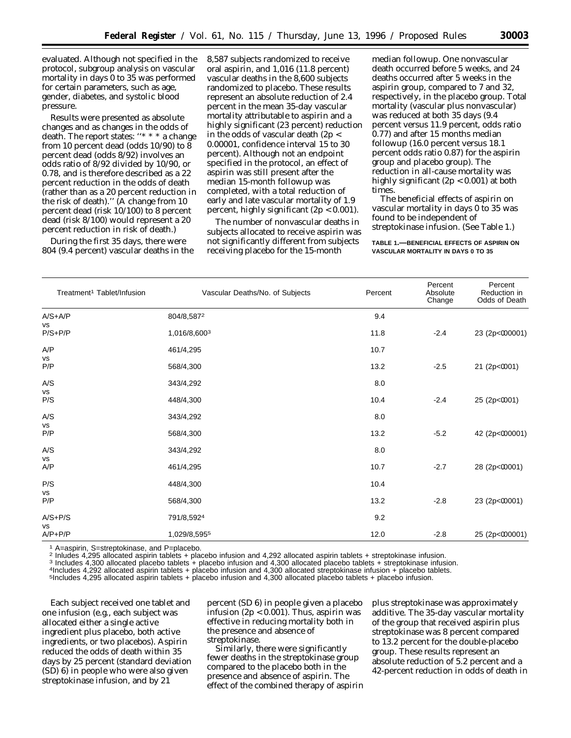evaluated. Although not specified in the protocol, subgroup analysis on vascular mortality in days 0 to 35 was performed for certain parameters, such as age, gender, diabetes, and systolic blood pressure.

Results were presented as absolute changes and as changes in the odds of death. The report states: ''\* \* \* a change from 10 percent dead (odds 10/90) to 8 percent dead (odds 8/92) involves an odds ratio of 8/92 divided by 10/90, or 0.78, and is therefore described as a 22 percent reduction in the odds of death (rather than as a 20 percent reduction in the risk of death).'' (A change from 10 percent dead (risk 10/100) to 8 percent dead (risk 8/100) would represent a 20 percent reduction in risk of death.)

During the first 35 days, there were 804 (9.4 percent) vascular deaths in the 8,587 subjects randomized to receive oral aspirin, and 1,016 (11.8 percent) vascular deaths in the 8,600 subjects randomized to placebo. These results represent an absolute reduction of 2.4 percent in the mean 35-day vascular mortality attributable to aspirin and a highly significant (23 percent) reduction in the odds of vascular death (2p < 0.00001, confidence interval 15 to 30 percent). Although not an endpoint specified in the protocol, an effect of aspirin was still present after the median 15-month followup was completed, with a total reduction of early and late vascular mortality of 1.9 percent, highly significant (2p < 0.001).

The number of nonvascular deaths in subjects allocated to receive aspirin was not significantly different from subjects receiving placebo for the 15-month

median followup. One nonvascular death occurred before 5 weeks, and 24 deaths occurred after 5 weeks in the aspirin group, compared to 7 and 32, respectively, in the placebo group. Total mortality (vascular plus nonvascular) was reduced at both 35 days (9.4 percent versus 11.9 percent, odds ratio 0.77) and after 15 months median followup (16.0 percent versus 18.1 percent odds ratio 0.87) for the aspirin group and placebo group). The reduction in all-cause mortality was highly significant (2p < 0.001) at both times.

The beneficial effects of aspirin on vascular mortality in days 0 to 35 was found to be independent of streptokinase infusion. (See Table 1.)

#### **TABLE 1.—BENEFICIAL EFFECTS OF ASPIRIN ON VASCULAR MORTALITY IN DAYS 0 TO 35**

| Treatment <sup>1</sup> Tablet/Infusion | Vascular Deaths/No. of Subjects | Percent | Percent<br>Absolute<br>Change | Percent<br>Reduction in<br>Odds of Death |
|----------------------------------------|---------------------------------|---------|-------------------------------|------------------------------------------|
| $A/S + A/P$                            | 804/8,5872                      | 9.4     |                               |                                          |
| vs<br>$P/S+P/P$                        | 1,016/8,6003                    | 11.8    | $-2.4$                        | 23 (2p<000001)                           |
| A/P                                    | 461/4,295                       | 10.7    |                               |                                          |
| VS<br>P/P                              | 568/4,300                       | 13.2    | $-2.5$                        | 21 (2p<0001)                             |
| A/S                                    | 343/4,292                       | 8.0     |                               |                                          |
| vs<br>P/S                              | 448/4,300                       | 10.4    | $-2.4$                        | 25 (2p<0001)                             |
| A/S                                    | 343/4,292                       | 8.0     |                               |                                          |
| vs<br>P/P                              | 568/4,300                       | 13.2    | $-5.2$                        | 42 (2p<000001)                           |
| A/S                                    | 343/4,292                       | 8.0     |                               |                                          |
| vs<br>A/P                              | 461/4,295                       | 10.7    | $-2.7$                        | 28 (2p<00001)                            |
| P/S                                    | 448/4,300                       | 10.4    |                               |                                          |
| VS<br>P/P                              | 568/4,300                       | 13.2    | $-2.8$                        | 23 (2p<00001)                            |
| $A/S + P/S$                            | 791/8,5924                      | 9.2     |                               |                                          |
| vs<br>$A/P + P/P$                      | 1,029/8,5955                    | 12.0    | $-2.8$                        | 25 (2p<000001)                           |

<sup>1</sup> A=aspirin, S=streptokinase, and P=placebo.<br>
<sup>2</sup> Inludes 4,295 allocated aspirin tablets + placebo infusion and 4,292 allocated aspirin tablets + streptokinase infusion.<br>
<sup>3</sup> Includes 4,300 allocated placebo tablets + p

5Includes 4,295 allocated aspirin tablets + placebo infusion and 4,300 allocated placebo tablets + placebo infusion.

Each subject received one tablet and one infusion (e.g., each subject was allocated either a single active ingredient plus placebo, both active ingredients, or two placebos). Aspirin reduced the odds of death within 35 days by 25 percent (standard deviation (SD) 6) in people who were also given streptokinase infusion, and by 21

percent (SD 6) in people given a placebo infusion  $(2p < 0.001)$ . Thus, aspirin was effective in reducing mortality both in the presence and absence of streptokinase.

Similarly, there were significantly fewer deaths in the streptokinase group compared to the placebo both in the presence and absence of aspirin. The effect of the combined therapy of aspirin

plus streptokinase was approximately additive. The 35-day vascular mortality of the group that received aspirin plus streptokinase was 8 percent compared to 13.2 percent for the double-placebo group. These results represent an absolute reduction of 5.2 percent and a 42-percent reduction in odds of death in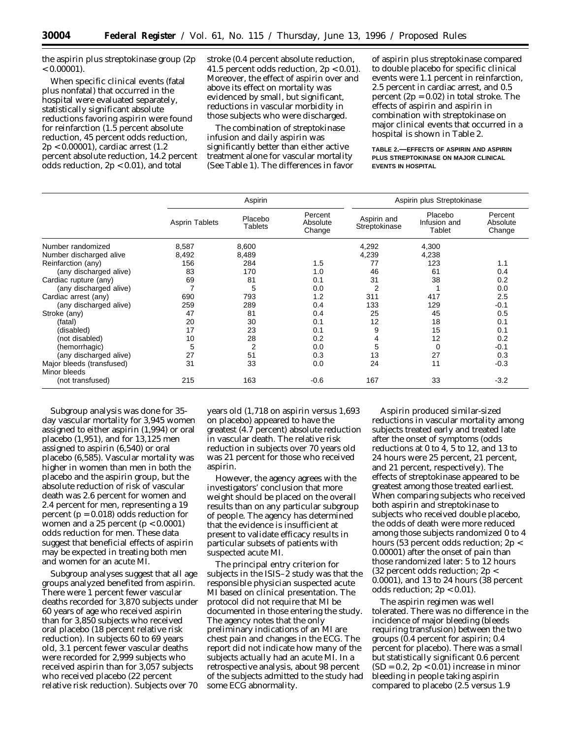the aspirin plus streptokinase group (2p  $< 0.00001$ ).

When specific clinical events (fatal plus nonfatal) that occurred in the hospital were evaluated separately, statistically significant absolute reductions favoring aspirin were found for reinfarction (1.5 percent absolute reduction, 45 percent odds reduction, 2p < 0.00001), cardiac arrest (1.2 percent absolute reduction, 14.2 percent odds reduction, 2p < 0.01), and total

stroke (0.4 percent absolute reduction, 41.5 percent odds reduction, 2p < 0.01). Moreover, the effect of aspirin over and above its effect on mortality was evidenced by small, but significant, reductions in vascular morbidity in those subjects who were discharged.

The combination of streptokinase infusion and daily aspirin was significantly better than either active treatment alone for vascular mortality (See Table 1). The differences in favor of aspirin plus streptokinase compared to double placebo for specific clinical events were 1.1 percent in reinfarction, 2.5 percent in cardiac arrest, and 0.5 percent  $(2p = 0.02)$  in total stroke. The effects of aspirin and aspirin in combination with streptokinase on major clinical events that occurred in a hospital is shown in Table 2.

#### **TABLE 2.—EFFECTS OF ASPIRIN AND ASPIRIN PLUS STREPTOKINASE ON MAJOR CLINICAL EVENTS IN HOSPITAL**

|                           |                       | Aspirin            |                               |                              | Aspirin plus Streptokinase        |                               |  |
|---------------------------|-----------------------|--------------------|-------------------------------|------------------------------|-----------------------------------|-------------------------------|--|
|                           | <b>Asprin Tablets</b> | Placebo<br>Tablets | Percent<br>Absolute<br>Change | Aspirin and<br>Streptokinase | Placebo<br>Infusion and<br>Tablet | Percent<br>Absolute<br>Change |  |
| Number randomized         | 8,587                 | 8,600              |                               | 4,292                        | 4,300                             |                               |  |
| Number discharged alive   | 8,492                 | 8,489              |                               | 4,239                        | 4,238                             |                               |  |
| Reinfarction (any)        | 156                   | 284                | 1.5                           | 77                           | 123                               | 1.1                           |  |
| (any discharged alive)    | 83                    | 170                | 1.0                           | 46                           | 61                                | 0.4                           |  |
| Cardiac rupture (any)     | 69                    | 81                 | 0.1                           | 31                           | 38                                | 0.2                           |  |
| (any discharged alive)    | 7                     | 5                  | 0.0                           | 2                            |                                   | 0.0                           |  |
| Cardiac arrest (any)      | 690                   | 793                | 1.2                           | 311                          | 417                               | 2.5                           |  |
| (any discharged alive)    | 259                   | 289                | 0.4                           | 133                          | 129                               | $-0.1$                        |  |
| Stroke (any)              | 47                    | 81                 | 0.4                           | 25                           | 45                                | 0.5                           |  |
| (fatal)                   | 20                    | 30                 | 0.1                           | 12                           | 18                                | 0.1                           |  |
| (disabled)                | 17                    | 23                 | 0.1                           | 9                            | 15                                | 0.1                           |  |
| (not disabled)            | 10                    | 28                 | 0.2                           | 4                            | 12                                | 0.2                           |  |
| (hemorrhagic)             | 5                     | $\overline{2}$     | 0.0                           | 5                            | $\Omega$                          | $-0.1$                        |  |
| (any discharged alive)    | 27                    | 51                 | 0.3                           | 13                           | 27                                | 0.3                           |  |
| Major bleeds (transfused) | 31                    | 33                 | 0.0                           | 24                           | 11                                | $-0.3$                        |  |
| Minor bleeds              |                       |                    |                               |                              |                                   |                               |  |
| (not transfused)          | 215                   | 163                | $-0.6$                        | 167                          | 33                                | $-3.2$                        |  |

Subgroup analysis was done for 35 day vascular mortality for 3,945 women assigned to either aspirin (1,994) or oral placebo (1,951), and for 13,125 men assigned to aspirin (6,540) or oral placebo (6,585). Vascular mortality was higher in women than men in both the placebo and the aspirin group, but the absolute reduction of risk of vascular death was 2.6 percent for women and 2.4 percent for men, representing a 19 percent ( $p = 0.018$ ) odds reduction for women and a 25 percent  $(p < 0.0001)$ odds reduction for men. These data suggest that beneficial effects of aspirin may be expected in treating both men and women for an acute MI.

Subgroup analyses suggest that all age groups analyzed benefited from aspirin. There were 1 percent fewer vascular deaths recorded for 3,870 subjects under 60 years of age who received aspirin than for 3,850 subjects who received oral placebo (18 percent relative risk reduction). In subjects 60 to 69 years old, 3.1 percent fewer vascular deaths were recorded for 2,999 subjects who received aspirin than for 3,057 subjects who received placebo (22 percent relative risk reduction). Subjects over 70

years old (1,718 on aspirin versus 1,693 on placebo) appeared to have the greatest (4.7 percent) absolute reduction in vascular death. The relative risk reduction in subjects over 70 years old was 21 percent for those who received aspirin.

However, the agency agrees with the investigators' conclusion that more weight should be placed on the overall results than on any particular subgroup of people. The agency has determined that the evidence is insufficient at present to validate efficacy results in particular subsets of patients with suspected acute MI.

The principal entry criterion for subjects in the ISIS–2 study was that the responsible physician suspected acute MI based on clinical presentation. The protocol did not require that MI be documented in those entering the study. The agency notes that the only preliminary indications of an MI are chest pain and changes in the ECG. The report did not indicate how many of the subjects actually had an acute MI. In a retrospective analysis, about 98 percent of the subjects admitted to the study had some ECG abnormality.

Aspirin produced similar-sized reductions in vascular mortality among subjects treated early and treated late after the onset of symptoms (odds reductions at 0 to 4, 5 to 12, and 13 to 24 hours were 25 percent, 21 percent, and 21 percent, respectively). The effects of streptokinase appeared to be greatest among those treated earliest. When comparing subjects who received both aspirin and streptokinase to subjects who received double placebo, the odds of death were more reduced among those subjects randomized 0 to 4 hours (53 percent odds reduction; 2p < 0.00001) after the onset of pain than those randomized later: 5 to 12 hours (32 percent odds reduction; 2p < 0.0001), and 13 to 24 hours (38 percent odds reduction; 2p < 0.01).

The aspirin regimen was well tolerated. There was no difference in the incidence of major bleeding (bleeds requiring transfusion) between the two groups (0.4 percent for aspirin; 0.4 percent for placebo). There was a small but statistically significant 0.6 percent  $(SD = 0.2, 2p < 0.01)$  increase in minor bleeding in people taking aspirin compared to placebo (2.5 versus 1.9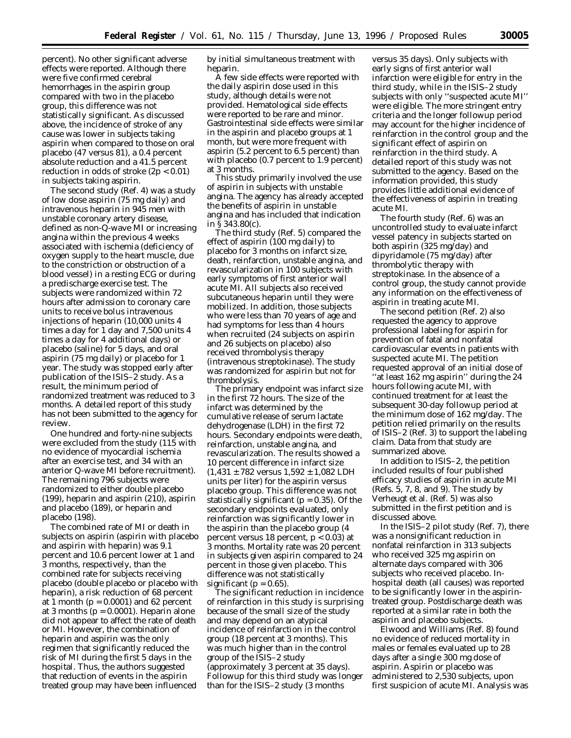percent). No other significant adverse effects were reported. Although there were five confirmed cerebral hemorrhages in the aspirin group compared with two in the placebo group, this difference was not statistically significant. As discussed above, the incidence of stroke of any cause was lower in subjects taking aspirin when compared to those on oral placebo (47 versus 81), a 0.4 percent absolute reduction and a 41.5 percent reduction in odds of stroke (2p < 0.01) in subjects taking aspirin.

The second study (Ref. 4) was a study of low dose aspirin (75 mg daily) and intravenous heparin in 945 men with unstable coronary artery disease, defined as non-Q-wave MI or increasing angina within the previous 4 weeks associated with ischemia (deficiency of oxygen supply to the heart muscle, due to the constriction or obstruction of a blood vessel) in a resting ECG or during a predischarge exercise test. The subjects were randomized within 72 hours after admission to coronary care units to receive bolus intravenous injections of heparin (10,000 units 4 times a day for 1 day and 7,500 units 4 times a day for 4 additional days) or placebo (saline) for 5 days, and oral aspirin (75 mg daily) or placebo for 1 year. The study was stopped early after publication of the ISIS–2 study. As a result, the minimum period of randomized treatment was reduced to 3 months. A detailed report of this study has not been submitted to the agency for review.

One hundred and forty-nine subjects were excluded from the study (115 with no evidence of myocardial ischemia after an exercise test, and 34 with an anterior Q-wave MI before recruitment). The remaining 796 subjects were randomized to either double placebo (199), heparin and aspirin (210), aspirin and placebo (189), or heparin and placebo (198).

The combined rate of MI or death in subjects on aspirin (aspirin with placebo and aspirin with heparin) was 9.1 percent and 10.6 percent lower at 1 and 3 months, respectively, than the combined rate for subjects receiving placebo (double placebo or placebo with heparin), a risk reduction of 68 percent at 1 month ( $p = 0.0001$ ) and 62 percent at 3 months ( $p = 0.0001$ ). Heparin alone did not appear to affect the rate of death or MI. However, the combination of heparin and aspirin was the only regimen that significantly reduced the risk of MI during the first 5 days in the hospital. Thus, the authors suggested that reduction of events in the aspirin treated group may have been influenced

by initial simultaneous treatment with heparin.

A few side effects were reported with the daily aspirin dose used in this study, although details were not provided. Hematological side effects were reported to be rare and minor. Gastrointestinal side effects were similar in the aspirin and placebo groups at 1 month, but were more frequent with aspirin (5.2 percent to 6.5 percent) than with placebo (0.7 percent to 1.9 percent) at 3 months.

This study primarily involved the use of aspirin in subjects with unstable angina. The agency has already accepted the benefits of aspirin in unstable angina and has included that indication in § 343.80(c).

The third study (Ref. 5) compared the effect of aspirin (100 mg daily) to placebo for 3 months on infarct size, death, reinfarction, unstable angina, and revascularization in 100 subjects with early symptoms of first anterior wall acute MI. All subjects also received subcutaneous heparin until they were mobilized. In addition, those subjects who were less than 70 years of age and had symptoms for less than 4 hours when recruited (24 subjects on aspirin and 26 subjects on placebo) also received thrombolysis therapy (intravenous streptokinase). The study was randomized for aspirin but not for thrombolysis.

The primary endpoint was infarct size in the first 72 hours. The size of the infarct was determined by the cumulative release of serum lactate dehydrogenase (LDH) in the first 72 hours. Secondary endpoints were death, reinfarction, unstable angina, and revascularization. The results showed a 10 percent difference in infarct size  $(1,431 \pm 782 \text{ versus } 1,592 \pm 1,082 \text{ LDH})$ units per liter) for the aspirin versus placebo group. This difference was not statistically significant ( $p = 0.35$ ). Of the secondary endpoints evaluated, only reinfarction was significantly lower in the aspirin than the placebo group (4 percent versus 18 percent, p < 0.03) at 3 months. Mortality rate was 20 percent in subjects given aspirin compared to 24 percent in those given placebo. This difference was not statistically significant ( $p = 0.65$ ).

The significant reduction in incidence of reinfarction in this study is surprising because of the small size of the study and may depend on an atypical incidence of reinfarction in the control group (18 percent at 3 months). This was much higher than in the control group of the ISIS–2 study (approximately 3 percent at 35 days). Followup for this third study was longer than for the ISIS–2 study (3 months

versus 35 days). Only subjects with early signs of first anterior wall infarction were eligible for entry in the third study, while in the ISIS–2 study subjects with only ''suspected acute MI'' were eligible. The more stringent entry criteria and the longer followup period may account for the higher incidence of reinfarction in the control group and the significant effect of aspirin on reinfarction in the third study. A detailed report of this study was not submitted to the agency. Based on the information provided, this study provides little additional evidence of the effectiveness of aspirin in treating acute MI.

The fourth study (Ref. 6) was an uncontrolled study to evaluate infarct vessel patency in subjects started on both aspirin (325 mg/day) and dipyridamole (75 mg/day) after thrombolytic therapy with streptokinase. In the absence of a control group, the study cannot provide any information on the effectiveness of aspirin in treating acute MI.

The second petition (Ref. 2) also requested the agency to approve professional labeling for aspirin for prevention of fatal and nonfatal cardiovascular events in patients with suspected acute MI. The petition requested approval of an initial dose of ''at least 162 mg aspirin'' during the 24 hours following acute MI, with continued treatment for at least the subsequent 30-day followup period at the minimum dose of 162 mg/day. The petition relied primarily on the results of ISIS–2 (Ref. 3) to support the labeling claim. Data from that study are summarized above.

In addition to ISIS–2, the petition included results of four published efficacy studies of aspirin in acute MI (Refs. 5, 7, 8, and 9). The study by Verheugt et al. (Ref. 5) was also submitted in the first petition and is discussed above.

In the ISIS–2 pilot study (Ref. 7), there was a nonsignificant reduction in nonfatal reinfarction in 313 subjects who received 325 mg aspirin on alternate days compared with 306 subjects who received placebo. Inhospital death (all causes) was reported to be significantly lower in the aspirintreated group. Postdischarge death was reported at a similar rate in both the aspirin and placebo subjects.

Elwood and Williams (Ref. 8) found no evidence of reduced mortality in males or females evaluated up to 28 days after a single 300 mg dose of aspirin. Aspirin or placebo was administered to 2,530 subjects, upon first suspicion of acute MI. Analysis was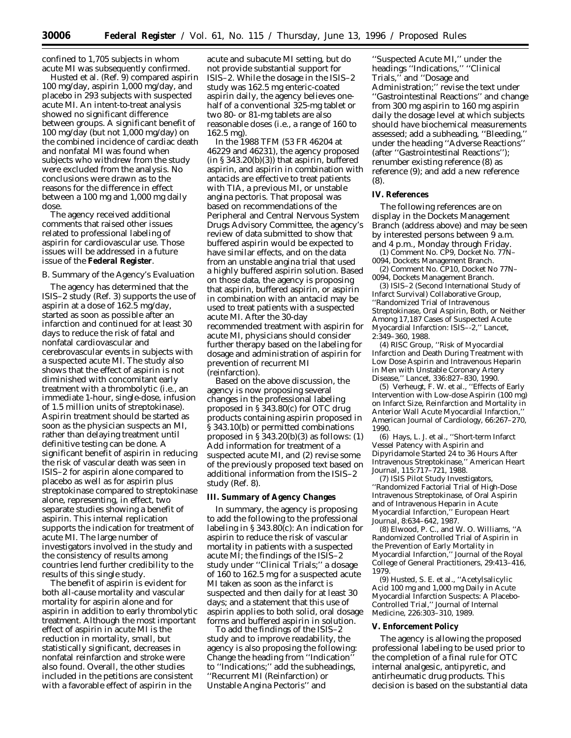confined to 1,705 subjects in whom acute MI was subsequently confirmed.

Husted et al. (Ref. 9) compared aspirin 100 mg/day, aspirin 1,000 mg/day, and placebo in 293 subjects with suspected acute MI. An intent-to-treat analysis showed no significant difference between groups. A significant benefit of 100 mg/day (but not 1,000 mg/day) on the combined incidence of cardiac death and nonfatal MI was found when subjects who withdrew from the study were excluded from the analysis. No conclusions were drawn as to the reasons for the difference in effect between a 100 mg and 1,000 mg daily dose.

The agency received additional comments that raised other issues related to professional labeling of aspirin for cardiovascular use. Those issues will be addressed in a future issue of the **Federal Register**.

# *B. Summary of the Agency's Evaluation*

The agency has determined that the ISIS–2 study (Ref. 3) supports the use of aspirin at a dose of 162.5 mg/day, started as soon as possible after an infarction and continued for at least 30 days to reduce the risk of fatal and nonfatal cardiovascular and cerebrovascular events in subjects with a suspected acute MI. The study also shows that the effect of aspirin is not diminished with concomitant early treatment with a thrombolytic (i.e., an immediate 1-hour, single-dose, infusion of 1.5 million units of streptokinase). Aspirin treatment should be started as soon as the physician suspects an MI, rather than delaying treatment until definitive testing can be done. A significant benefit of aspirin in reducing the risk of vascular death was seen in ISIS–2 for aspirin alone compared to placebo as well as for aspirin plus streptokinase compared to streptokinase alone, representing, in effect, two separate studies showing a benefit of aspirin. This internal replication supports the indication for treatment of acute MI. The large number of investigators involved in the study and the consistency of results among countries lend further credibility to the results of this single study.

The benefit of aspirin is evident for both all-cause mortality and vascular mortality for aspirin alone and for aspirin in addition to early thrombolytic treatment. Although the most important effect of aspirin in acute MI is the reduction in mortality, small, but statistically significant, decreases in nonfatal reinfarction and stroke were also found. Overall, the other studies included in the petitions are consistent with a favorable effect of aspirin in the

acute and subacute MI setting, but do not provide substantial support for ISIS–2. While the dosage in the ISIS–2 study was 162.5 mg enteric-coated aspirin daily, the agency believes onehalf of a conventional 325-mg tablet or two 80- or 81-mg tablets are also reasonable doses (i.e., a range of 160 to 162.5 mg).

In the 1988 TFM (53 FR 46204 at 46229 and 46231), the agency proposed  $(in § 343.20(b)(3))$  that aspirin, buffered aspirin, and aspirin in combination with antacids are effective to treat patients with TIA, a previous MI, or unstable angina pectoris. That proposal was based on recommendations of the Peripheral and Central Nervous System Drugs Advisory Committee, the agency's review of data submitted to show that buffered aspirin would be expected to have similar effects, and on the data from an unstable angina trial that used a highly buffered aspirin solution. Based on those data, the agency is proposing that aspirin, buffered aspirin, or aspirin in combination with an antacid may be used to treat patients with a suspected acute MI. After the 30-day recommended treatment with aspirin for acute MI, physicians should consider further therapy based on the labeling for dosage and administration of aspirin for prevention of recurrent MI (reinfarction).

Based on the above discussion, the agency is now proposing several changes in the professional labeling proposed in § 343.80(c) for OTC drug products containing aspirin proposed in § 343.10(b) or permitted combinations proposed in  $\S 343.20(b)(3)$  as follows: (1) Add information for treatment of a suspected acute MI, and (2) revise some of the previously proposed text based on additional information from the ISIS–2 study (Ref. 8).

## **III. Summary of Agency Changes**

In summary, the agency is proposing to add the following to the professional labeling in § 343.80(c): An indication for aspirin to reduce the risk of vascular mortality in patients with a suspected acute MI; the findings of the ISIS–2 study under ''Clinical Trials;'' a dosage of 160 to 162.5 mg for a suspected acute MI taken as soon as the infarct is suspected and then daily for at least 30 days; and a statement that this use of aspirin applies to both solid, oral dosage forms and buffered aspirin in solution.

To add the findings of the ISIS–2 study and to improve readability, the agency is also proposing the following: Change the heading from ''Indication'' to ''Indications;'' add the subheadings, ''Recurrent MI (Reinfarction) or Unstable Angina Pectoris'' and

''Suspected Acute MI,'' under the headings ''Indications,'' ''Clinical Trials,'' and ''Dosage and Administration;'' revise the text under ''Gastrointestinal Reactions'' and change from 300 mg aspirin to 160 mg aspirin daily the dosage level at which subjects should have biochemical measurements assessed; add a subheading, ''Bleeding,'' under the heading ''Adverse Reactions'' (after ''Gastrointestinal Reactions''); renumber existing reference (8) as reference (9); and add a new reference (8).

#### **IV. References**

The following references are on display in the Dockets Management Branch (address above) and may be seen by interested persons between 9 a.m. and 4 p.m., Monday through Friday.

(1) Comment No. CP9, Docket No. 77N– 0094, Dockets Management Branch.

(2) Comment No. CP10, Docket No 77N– 0094, Dockets Management Branch.

(3) ISIS–2 (Second International Study of Infarct Survival) Collaborative Group, ''Randomized Trial of Intravenous Streptokinase, Oral Aspirin, Both, or Neither Among 17,187 Cases of Suspected Acute Myocardial Infarction: ISIS–-2,'' *Lancet*, 2:349–360, 1988.

(4) RISC Group, ''Risk of Myocardial Infarction and Death During Treatment with Low Dose Aspirin and Intravenous Heparin in Men with Unstable Coronary Artery Disease,'' *Lancet*, 336:827–830, 1990.

(5) Verheugt, F. W. et al., ''Effects of Early Intervention with Low-dose Aspirin (100 mg) on Infarct Size, Reinfarction and Mortality in Anterior Wall Acute Myocardial Infarction,'' *American Journal of Cardiology*, 66:267–270, 1990.

(6) Hays, L. J. et al., ''Short-term Infarct Vessel Patency with Aspirin and Dipyridamole Started 24 to 36 Hours After Intravenous Streptokinase,'' *American Heart Journal*, 115:717–721, 1988.

(7) ISIS Pilot Study Investigators, ''Randomized Factorial Trial of High-Dose Intravenous Streptokinase, of Oral Aspirin and of Intravenous Heparin in Acute Myocardial Infarction,'' *European Heart Journal*, 8:634–642, 1987.

(8) Elwood, P. C., and W. O. Williams, ''A Randomized Controlled Trial of Aspirin in the Prevention of Early Mortality in Myocardial Infarction,'' *Journal of the Royal College of General Practitioners*, 29:413–416, 1979.

(9) Husted, S. E. et al., ''Acetylsalicylic Acid 100 mg and 1,000 mg Daily in Acute Myocardial Infarction Suspects: A Placebo-Controlled Trial,'' *Journal of Internal Medicine*, 226:303–310, 1989.

#### **V. Enforcement Policy**

The agency is allowing the proposed professional labeling to be used prior to the completion of a final rule for OTC internal analgesic, antipyretic, and antirheumatic drug products. This decision is based on the substantial data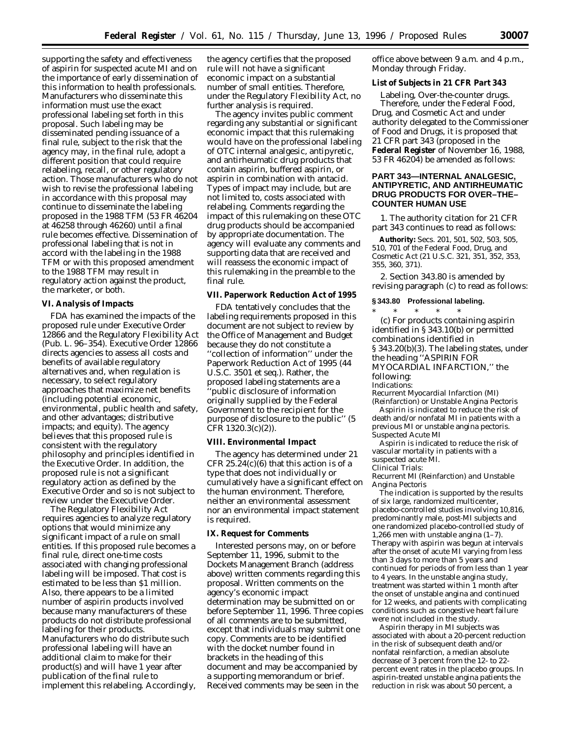supporting the safety and effectiveness of aspirin for suspected acute MI and on the importance of early dissemination of this information to health professionals. Manufacturers who disseminate this information must use the exact professional labeling set forth in this proposal. Such labeling may be disseminated pending issuance of a final rule, subject to the risk that the agency may, in the final rule, adopt a different position that could require relabeling, recall, or other regulatory action. Those manufacturers who do not wish to revise the professional labeling in accordance with this proposal may continue to disseminate the labeling proposed in the 1988 TFM (53 FR 46204 at 46258 through 46260) until a final rule becomes effective. Dissemination of professional labeling that is not in accord with the labeling in the 1988 TFM or with this proposed amendment to the 1988 TFM may result in regulatory action against the product, the marketer, or both.

#### **VI. Analysis of Impacts**

FDA has examined the impacts of the proposed rule under Executive Order 12866 and the Regulatory Flexibility Act (Pub. L. 96–354). Executive Order 12866 directs agencies to assess all costs and benefits of available regulatory alternatives and, when regulation is necessary, to select regulatory approaches that maximize net benefits (including potential economic, environmental, public health and safety, and other advantages; distributive impacts; and equity). The agency believes that this proposed rule is consistent with the regulatory philosophy and principles identified in the Executive Order. In addition, the proposed rule is not a significant regulatory action as defined by the Executive Order and so is not subject to review under the Executive Order.

The Regulatory Flexibility Act requires agencies to analyze regulatory options that would minimize any significant impact of a rule on small entities. If this proposed rule becomes a final rule, direct one-time costs associated with changing professional labeling will be imposed. That cost is estimated to be less than \$1 million. Also, there appears to be a limited number of aspirin products involved because many manufacturers of these products do not distribute professional labeling for their products. Manufacturers who do distribute such professional labeling will have an additional claim to make for their product(s) and will have 1 year after publication of the final rule to implement this relabeling. Accordingly,

the agency certifies that the proposed rule will not have a significant economic impact on a substantial number of small entities. Therefore, under the Regulatory Flexibility Act, no further analysis is required.

The agency invites public comment regarding any substantial or significant economic impact that this rulemaking would have on the professional labeling of OTC internal analgesic, antipyretic, and antirheumatic drug products that contain aspirin, buffered aspirin, or aspirin in combination with antacid. Types of impact may include, but are not limited to, costs associated with relabeling. Comments regarding the impact of this rulemaking on these OTC drug products should be accompanied by appropriate documentation. The agency will evaluate any comments and supporting data that are received and will reassess the economic impact of this rulemaking in the preamble to the final rule.

## **VII. Paperwork Reduction Act of 1995**

FDA tentatively concludes that the labeling requirements proposed in this document are not subject to review by the Office of Management and Budget because they do not constitute a ''collection of information'' under the Paperwork Reduction Act of 1995 (44 U.S.C. 3501 *et seq*.). Rather, the proposed labeling statements are a 'public disclosure of information originally supplied by the Federal Government to the recipient for the purpose of disclosure to the public'' (5 CFR 1320.3(c)(2)).

## **VIII. Environmental Impact**

The agency has determined under 21 CFR  $25.24(c)(6)$  that this action is of a type that does not individually or cumulatively have a significant effect on the human environment. Therefore, neither an environmental assessment nor an environmental impact statement is required.

## **IX. Request for Comments**

Interested persons may, on or before September 11, 1996, submit to the Dockets Management Branch (address above) written comments regarding this proposal. Written comments on the agency's economic impact determination may be submitted on or before September 11, 1996. Three copies of all comments are to be submitted, except that individuals may submit one copy. Comments are to be identified with the docket number found in brackets in the heading of this document and may be accompanied by a supporting memorandum or brief. Received comments may be seen in the

office above between 9 a.m. and 4 p.m., Monday through Friday.

## **List of Subjects in 21 CFR Part 343**

Labeling, Over-the-counter drugs. Therefore, under the Federal Food, Drug, and Cosmetic Act and under authority delegated to the Commissioner of Food and Drugs, it is proposed that 21 CFR part 343 (proposed in the **Federal Register** of November 16, 1988, 53 FR 46204) be amended as follows:

# **PART 343—INTERNAL ANALGESIC, ANTIPYRETIC, AND ANTIRHEUMATIC DRUG PRODUCTS FOR OVER–THE– COUNTER HUMAN USE**

1. The authority citation for 21 CFR part 343 continues to read as follows:

**Authority:** Secs. 201, 501, 502, 503, 505, 510, 701 of the Federal Food, Drug, and Cosmetic Act (21 U.S.C. 321, 351, 352, 353, 355, 360, 371).

2. Section 343.80 is amended by revising paragraph (c) to read as follows:

## **§ 343.80 Professional labeling.**

\* \* \* \* \* (c) *For products containing aspirin identified in § 343.10(b) or permitted combinations identified in § 343.20(b)(3)*. The labeling states, under the heading ''ASPIRIN FOR MYOCARDIAL INFARCTION,'' the following: *Indications*:

*Recurrent Myocardial Infarction (MI) (Reinfarction) or Unstable Angina Pectoris*

Aspirin is indicated to reduce the risk of death and/or nonfatal MI in patients with a previous MI or unstable angina pectoris. *Suspected Acute MI*

Aspirin is indicated to reduce the risk of vascular mortality in patients with a suspected acute MI.

#### *Clinical Trials*:

*Recurrent MI (Reinfarction) and Unstable Angina Pectoris*

The indication is supported by the results of six large, randomized multicenter, placebo-controlled studies involving 10,816, predominantly male, post-MI subjects and one randomized placebo-controlled study of 1,266 men with unstable angina (1–7). Therapy with aspirin was begun at intervals after the onset of acute MI varying from less than 3 days to more than 5 years and continued for periods of from less than 1 year to 4 years. In the unstable angina study, treatment was started within 1 month after the onset of unstable angina and continued for 12 weeks, and patients with complicating conditions such as congestive heart failure were not included in the study.

Aspirin therapy in MI subjects was associated with about a 20-percent reduction in the risk of subsequent death and/or nonfatal reinfarction, a median absolute decrease of 3 percent from the 12- to 22 percent event rates in the placebo groups. In aspirin-treated unstable angina patients the reduction in risk was about 50 percent, a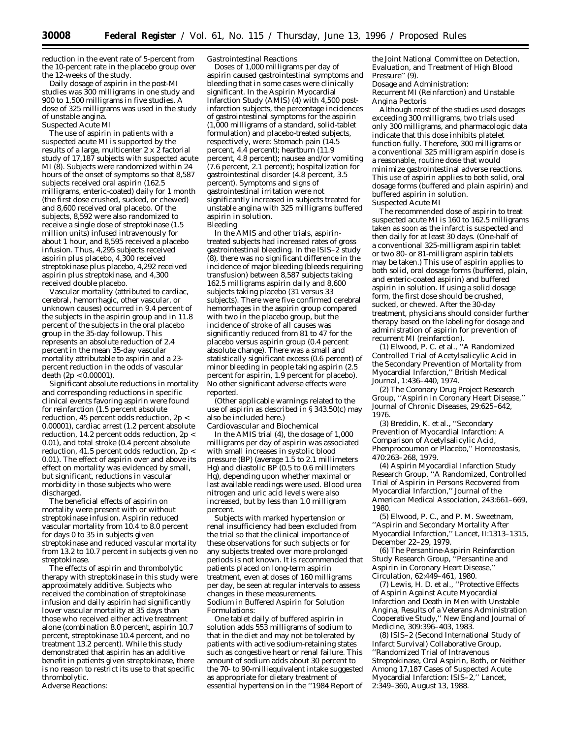reduction in the event rate of 5-percent from the 10-percent rate in the placebo group over the 12-weeks of the study.

Daily dosage of aspirin in the post-MI studies was 300 milligrams in one study and 900 to 1,500 milligrams in five studies. A dose of 325 milligrams was used in the study of unstable angina. *Suspected Acute MI*

The use of aspirin in patients with a suspected acute MI is supported by the results of a large, multicenter 2 x 2 factorial study of 17,187 subjects with suspected acute MI (8). Subjects were randomized within 24 hours of the onset of symptoms so that 8,587 subjects received oral aspirin (162.5 milligrams, enteric-coated) daily for 1 month (the first dose crushed, sucked, or chewed) and 8,600 received oral placebo. Of the subjects, 8,592 were also randomized to receive a single dose of streptokinase (1.5 million units) infused intravenously for about 1 hour, and 8,595 received a placebo infusion. Thus, 4,295 subjects received aspirin plus placebo, 4,300 received streptokinase plus placebo, 4,292 received aspirin plus streptokinase, and 4,300 received double placebo.

Vascular mortality (attributed to cardiac, cerebral, hemorrhagic, other vascular, or unknown causes) occurred in 9.4 percent of the subjects in the aspirin group and in 11.8 percent of the subjects in the oral placebo group in the 35-day followup. This represents an absolute reduction of 2.4 percent in the mean 35-day vascular mortality attributable to aspirin and a 23 percent reduction in the odds of vascular death  $(2p < 0.00001)$ .

Significant absolute reductions in mortality and corresponding reductions in specific clinical events favoring aspirin were found for reinfarction (1.5 percent absolute reduction, 45 percent odds reduction, 2p < 0.00001), cardiac arrest (1.2 percent absolute reduction, 14.2 percent odds reduction, 2p < 0.01), and total stroke (0.4 percent absolute reduction, 41.5 percent odds reduction, 2p < 0.01). The effect of aspirin over and above its effect on mortality was evidenced by small, but significant, reductions in vascular morbidity in those subjects who were discharged.

The beneficial effects of aspirin on mortality were present with or without streptokinase infusion. Aspirin reduced vascular mortality from 10.4 to 8.0 percent for days 0 to 35 in subjects given streptokinase and reduced vascular mortality from 13.2 to 10.7 percent in subjects given no streptokinase.

The effects of aspirin and thrombolytic therapy with streptokinase in this study were approximately additive. Subjects who received the combination of streptokinase infusion and daily aspirin had significantly lower vascular mortality at 35 days than those who received either active treatment alone (combination 8.0 percent, aspirin 10.7 percent, streptokinase 10.4 percent, and no treatment 13.2 percent). While this study demonstrated that aspirin has an additive benefit in patients given streptokinase, there is no reason to restrict its use to that specific thrombolytic. *Adverse Reactions*:

*Gastrointestinal Reactions*

Doses of 1,000 milligrams per day of aspirin caused gastrointestinal symptoms and bleeding that in some cases were clinically significant. In the Aspirin Myocardial Infarction Study (AMIS) (4) with 4,500 postinfarction subjects, the percentage incidences of gastrointestinal symptoms for the aspirin (1,000 milligrams of a standard, solid-tablet formulation) and placebo-treated subjects, respectively, were: Stomach pain (14.5 percent, 4.4 percent); heartburn (11.9 percent, 4.8 percent); nausea and/or vomiting (7.6 percent, 2.1 percent); hospitalization for gastrointestinal disorder (4.8 percent, 3.5 percent). Symptoms and signs of gastrointestinal irritation were not significantly increased in subjects treated for unstable angina with 325 milligrams buffered aspirin in solution. *Bleeding*

In the AMIS and other trials, aspirintreated subjects had increased rates of gross gastrointestinal bleeding. In the ISIS–2 study (8), there was no significant difference in the incidence of major bleeding (bleeds requiring transfusion) between 8,587 subjects taking 162.5 milligrams aspirin daily and 8,600 subjects taking placebo (31 versus 33 subjects). There were five confirmed cerebral hemorrhages in the aspirin group compared with two in the placebo group, but the incidence of stroke of all causes was significantly reduced from 81 to 47 for the placebo versus aspirin group (0.4 percent absolute change). There was a small and statistically significant excess (0.6 percent) of minor bleeding in people taking aspirin (2.5 percent for aspirin, 1.9 percent for placebo). No other significant adverse effects were reported.

(Other applicable warnings related to the use of aspirin as described in § 343.50(c) may also be included here.)

*Cardiovascular and Biochemical*

In the AMIS trial (4), the dosage of 1,000 milligrams per day of aspirin was associated with small increases in systolic blood pressure (BP) (average 1.5 to 2.1 millimeters  $Hg$ ) and diastolic BP (0.5 to 0.6 millimeters Hg), depending upon whether maximal or last available readings were used. Blood urea nitrogen and uric acid levels were also increased, but by less than 1.0 milligram percent.

Subjects with marked hypertension or renal insufficiency had been excluded from the trial so that the clinical importance of these observations for such subjects or for any subjects treated over more prolonged periods is not known. It is recommended that patients placed on long-term aspirin treatment, even at doses of 160 milligrams per day, be seen at regular intervals to assess changes in these measurements. *Sodium in Buffered Aspirin for Solution Formulations*:

One tablet daily of buffered aspirin in solution adds 553 milligrams of sodium to that in the diet and may not be tolerated by patients with active sodium-retaining states such as congestive heart or renal failure. This amount of sodium adds about 30 percent to the 70- to 90-milliequivalent intake suggested as appropriate for dietary treatment of essential hypertension in the ''1984 Report of

the Joint National Committee on Detection, Evaluation, and Treatment of High Blood Pressure'' (9).

*Dosage and Administration*: *Recurrent MI (Reinfarction) and Unstable Angina Pectoris*

Although most of the studies used dosages exceeding 300 milligrams, two trials used only 300 milligrams, and pharmacologic data indicate that this dose inhibits platelet function fully. Therefore, 300 milligrams or a conventional 325 milligram aspirin dose is a reasonable, routine dose that would minimize gastrointestinal adverse reactions. This use of aspirin applies to both solid, oral dosage forms (buffered and plain aspirin) and buffered aspirin in solution. *Suspected Acute MI*

The recommended dose of aspirin to treat suspected acute MI is 160 to 162.5 milligrams taken as soon as the infarct is suspected and then daily for at least 30 days. (One-half of a conventional 325-milligram aspirin tablet or two 80- or 81-milligram aspirin tablets may be taken.) This use of aspirin applies to both solid, oral dosage forms (buffered, plain, and enteric-coated aspirin) and buffered aspirin in solution. If using a solid dosage form, the first dose should be crushed, sucked, or chewed. After the 30-day treatment, physicians should consider further therapy based on the labeling for dosage and administration of aspirin for prevention of recurrent MI (reinfarction).

(1) Elwood, P. C. et al., ''A Randomized Controlled Trial of Acetylsalicylic Acid in the Secondary Prevention of Mortality from Myocardial Infarction,'' *British Medical Journal*, 1:436–440, 1974.

(2) The Coronary Drug Project Research Group, ''Aspirin in Coronary Heart Disease,'' *Journal of Chronic Diseases*, 29:625–642, 1976.

(3) Breddin, K. et al., ''Secondary Prevention of Myocardial Infarction: A Comparison of Acetylsalicylic Acid, Phenprocoumon or Placebo,'' *Homeostasis*, 470:263–268, 1979.

(4) Aspirin Myocardial Infarction Study Research Group, ''A Randomized, Controlled Trial of Aspirin in Persons Recovered from Myocardial Infarction,'' *Journal of the American Medical Association*, 243:661–669, 1980.

(5) Elwood, P. C., and P. M. Sweetnam, ''Aspirin and Secondary Mortality After Myocardial Infarction,'' *Lancet*, II:1313–1315, December 22–29, 1979.

(6) The Persantine-Aspirin Reinfarction Study Research Group, ''Persantine and Aspirin in Coronary Heart Disease,'' *Circulation*, 62:449–461, 1980.

(7) Lewis, H. D. et al., ''Protective Effects of Aspirin Against Acute Myocardial Infarction and Death in Men with Unstable Angina, Results of a Veterans Administration Cooperative Study,'' *New England Journal of Medicine*, 309:396–403, 1983.

(8) ISIS–2 (Second International Study of Infarct Survival) Collaborative Group, ''Randomized Trial of Intravenous Streptokinase, Oral Aspirin, Both, or Neither Among 17,187 Cases of Suspected Acute Myocardial Infarction: ISIS–2,'' *Lancet*, 2:349–360, August 13, 1988.